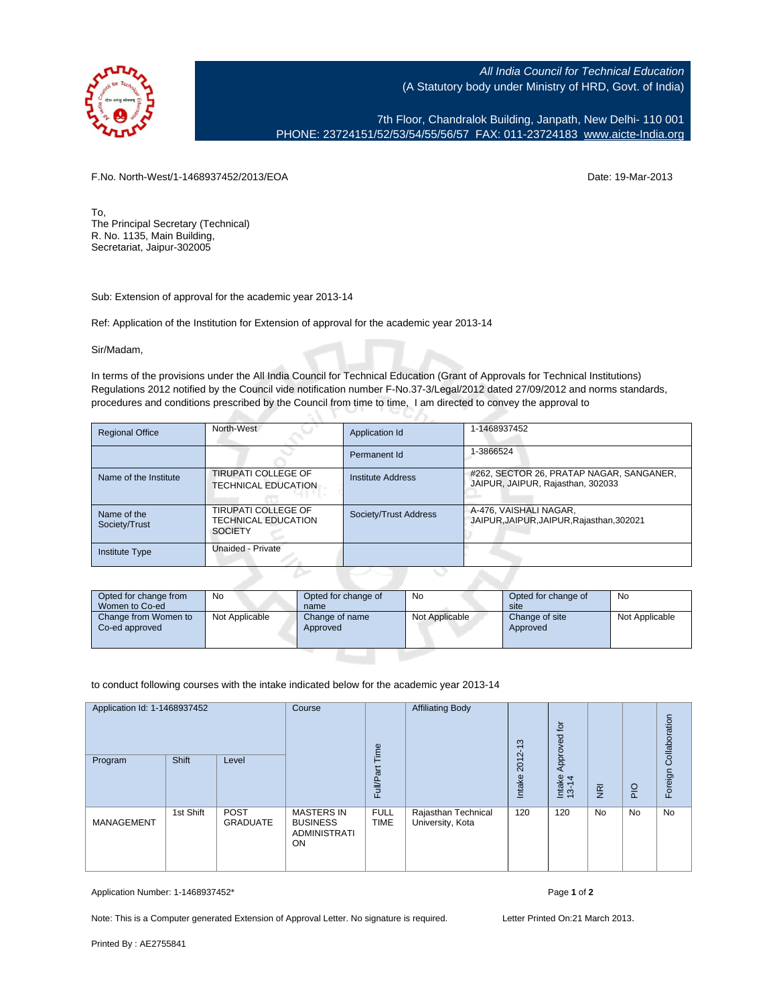

All India Council for Technical Education (A Statutory body under Ministry of HRD, Govt. of India)

7th Floor, Chandralok Building, Janpath, New Delhi- 110 001 PHONE: 23724151/52/53/54/55/56/57 FAX: 011-23724183 [www.aicte-India.org](http://www.aicte-India.org)

F.No. North-West/1-1468937452/2013/EOA Date: 19-Mar-2013

To, The Principal Secretary (Technical) R. No. 1135, Main Building, Secretariat, Jaipur-302005

Sub: Extension of approval for the academic year 2013-14

Ref: Application of the Institution for Extension of approval for the academic year 2013-14

5 N.

Sir/Madam,

In terms of the provisions under the All India Council for Technical Education (Grant of Approvals for Technical Institutions) Regulations 2012 notified by the Council vide notification number F-No.37-3/Legal/2012 dated 27/09/2012 and norms standards, procedures and conditions prescribed by the Council from time to time, I am directed to convey the approval to

| <b>Regional Office</b>       | North-West                                                                 | Application Id        | 1-1468937452                                                                  |
|------------------------------|----------------------------------------------------------------------------|-----------------------|-------------------------------------------------------------------------------|
|                              |                                                                            | Permanent Id          | 1-3866524                                                                     |
| Name of the Institute        | <b>TIRUPATI COLLEGE OF</b><br><b>TECHNICAL EDUCATION</b>                   | Institute Address     | #262, SECTOR 26, PRATAP NAGAR, SANGANER,<br>JAIPUR, JAIPUR, Rajasthan, 302033 |
| Name of the<br>Society/Trust | <b>TIRUPATI COLLEGE OF</b><br><b>TECHNICAL EDUCATION</b><br><b>SOCIETY</b> | Society/Trust Address | A-476, VAISHALI NAGAR,<br>JAIPUR, JAIPUR, JAIPUR, Rajasthan, 302021           |
| <b>Institute Type</b>        | Unaided - Private                                                          |                       |                                                                               |

| Opted for change from<br>Women to Co-ed | No             | Opted for change of<br>name | No             | Opted for change of<br>site | No             |
|-----------------------------------------|----------------|-----------------------------|----------------|-----------------------------|----------------|
| Change from Women to<br>Co-ed approved  | Not Applicable | Change of name<br>Approved  | Not Applicable | Change of site<br>Approved  | Not Applicable |

to conduct following courses with the intake indicated below for the academic year 2013-14

| Application Id: 1-1468937452 |           | Course<br>Time                 | <b>Affiliating Body</b>                                           | $\frac{3}{2}$              | Approved for                            |                |                 | Collaboration  |                |         |
|------------------------------|-----------|--------------------------------|-------------------------------------------------------------------|----------------------------|-----------------------------------------|----------------|-----------------|----------------|----------------|---------|
| Program                      | Shift     | Level                          |                                                                   | Full/Part                  |                                         | 2012<br>Intake | Intake<br>13-14 | $\overline{R}$ | P <sub>1</sub> | Foreign |
| <b>MANAGEMENT</b>            | 1st Shift | <b>POST</b><br><b>GRADUATE</b> | <b>MASTERS IN</b><br><b>BUSINESS</b><br><b>ADMINISTRATI</b><br>ON | <b>FULL</b><br><b>TIME</b> | Rajasthan Technical<br>University, Kota | 120            | 120             | <b>No</b>      | No             | No      |

Application Number: 1-1468937452\* Page **1** of **2**

Note: This is a Computer generated Extension of Approval Letter. No signature is required. Letter Printed On:21 March 2013.